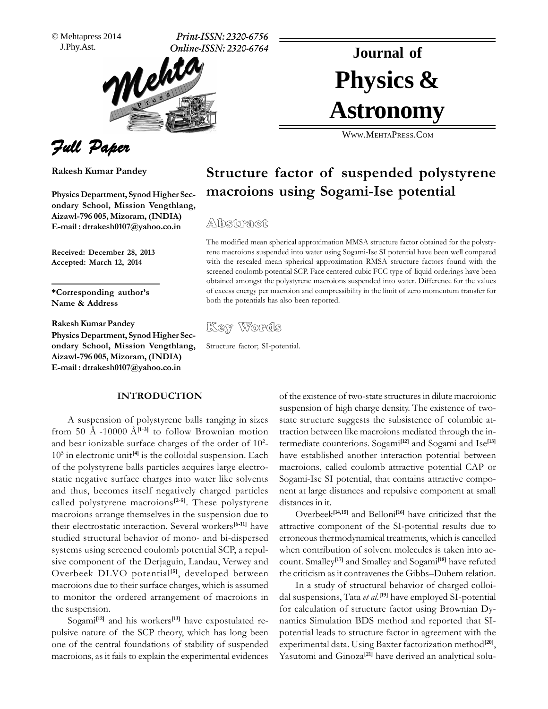Mehtapress 2014

J.Phy.Ast. **Print-ISSN: 2320-6756 Online-ISSN: 2320-6764**

# Physics & **Journal of Astronomy**

WWW.M[EHTA](http://WWW.MEHTAPRESS.COM)PRESS.COM

## Full Paper

**Kumar Pandey**

 **Department, Synod Higher Sec- ondary**Physics Department, Synod Higher Sec-<br>ondary School, Mission Vengthlang, **Aizawl-796 005, Mizoram, (INDIA)**<br>**E-mail :** drrakesh0107@yahoo.co.in

**December 28, <sup>2013</sup> Accepted: March 12, <sup>2014</sup>**

<u>**abused:**<br>\*Corresponding author's</u> **& Address Rakesh**

**Rakesh Kumar Pandey** 

**Rakesh Kumar Pandey<br>Physics Department, Synod Higher Sec- School, Mission Vengthlang, Aizawl-796** $\alpha$  ondary School, Mission Vengthlang, **E-mail : drrakesh0107@yahoo.co.in**

## **INTRODUCTION**

suspension of polystyrene balls ranging in sizes state A suspension of polystyrene balls ranging in sizes state strom 50 Å -10000 Å<sup>[1-3]</sup> to follow Brownian motion traction<br>and bear ionizable surface charges of the order of 10<sup>2</sup>- termed and bear ionizable surface charges of the order of  $10^2$ - termed  $10^5$  in electronic unit<sup>[4]</sup> is the colloidal suspension. Each have e  $10<sup>5</sup>$  in electronic unit<sup>[4]</sup> is the colloidal suspension. Each has<br>of the polystyrene balls particles acquires large electroof the polystyrene balls particles acquires large electrostatic negative surface charges into water like solvents Sogard thus, becomes itself negatively charged particles nent and thus, becomes itself negatively charged particles nent<br>called polystyrene macroions<sup>[2-5]</sup>. These polystyrene distan called polystyrene macroions<sup>[2-5]</sup>. These polystyrene distance<br>macroions arrange themselves in the suspension due to macroions arrange themselves in the suspension due to<br>their electrostatic interaction. Several workers<sup>[6-11]</sup> have studied structural behavior of mono- and bi-dispersed errore studied structural behavior of mono- and bi-dispersed errorstems using screened coulomb potential SCP, a repulstudied structural behavior of mono- and bi-dispersed erroneous thermodynamical treatments, which is cancelled<br>systems using screened coulomb potential SCP, a repul-<br>when contribution of solvent molecules is taken into acsive component of the Derjaguin, Landau, Verwey and count.<br>Overbeek DLVO potential<sup>[5]</sup>, developed between the crit Overbeek DLVO potential<sup>[5]</sup>, developed between the criteracroions due to their surface charges, which is assumed to receive the procedure contract the contract the contract of macroions in the ordered arrangement of macroions in dal sus to monitor the order the suspension. for<br>Sogami<sup>[12]</sup> and his workers<sup>[13]</sup> have expostulated rethe suspension.

 $a$ mi<sup>[12]</sup> and his workers<sup>[13]</sup> have expostulated re-<br>nature of the SCP theory, which has long been potent pulsive nature of the SCP theory, which has long been potent<br>one of the central foundations of stability of suspended experi macroions, as it fails to explain the experimental evidences Yass

# **factor of suspended polystyrene macroions using Sogami-Ise potential** Physics Department, Synod Higher Sec-<br>
ondary School, Mission Vengthlang,<br> **CODER SCHOOL, Mission Vengthlang,**

 $\frac{1}{2}$  and  $\frac{1}{2}$  the modified mean spherical approximation MMSA structure factor obtained for the polysty-The modified mean spherical approximation MMSA structure factor obtained for the polysty-<br>rene macroions suspended into water using Sogami-Ise SI potential have been well compared rene macroions suspended into water using Sogami-Ise SI potential have been well compared with the rescaled mean spherical approximation RMSA structure factors found with the screened coulomb potential SCP. Face centered cubic FCC type of liquid orderings have been obtained amongst the polystyrene macroions sus screened coulomb potential SCP. Face centered cubic FCC type of liquid orderings have been<br>obtained amongst the polystyrene macroions suspended into water. Difference for the values obtained amongst the polystyrene macroions suspended into water. Difference for the values of excess energy per macroion and compressibility in the limit of zero momentum transfer for both the potentials has also been reported.

Key Words

Structure factor; SI-potential.

of the existence of two-state structures in dilute macroionic<br>suspension of high charge density. The existence of twosuspension of high charge density. The existence of twotraction between like macroions mediated through the intraction between like macroions mediated through the intermediate counterions. Sogami<sup>[12]</sup> and Sogami and Ise<sup>[13]</sup> termediate counterions. Sogami<sup>[12]</sup> and Sogami and Ise<sup>[13]</sup><br>have established another interaction potential between macroions, called coulomb attractive potential CAP or Sogami-Ise Substitute and the interactive potential CAP or<br>Sogami-Ise SI potential, that contains attractive compo-Sogami-Ise SI potential, that contains attractive component at large distance<br>distances in it.

extended the component of the SI-potential results due to<br>erroneous thermodynamical treatments, which is cancelled distances in it.<br>
Overbeek<sup>[14,15]</sup> and Belloni<sup>[16]</sup> have criticized that the attractive component of the SI-potential results due to erroneous thermodynamical treatments, which is cancelled<br>when contribution of solvent molecules is taken into ac-**Contribution of solvent molecules is taken into ac-<br>Smalley<sup>[17]</sup> and Smalley and Sogami<sup>[18]</sup> have refuted** the count. Smalley<sup>[17]</sup> and Smalley and Sogami<sup>[18]</sup> have refuted<br>the criticism as it contravenes the Gibbs–Duhem relation. the criticism as it contravenes the Gibbs-Duhem relation.

In a study of structural behavior of charged colloisuspensions. Tata *et al.*<sup>[19]</sup> have employed SI-potential dal suspensions, Tata *et al.*<sup>[19]</sup> have employed SI-potential for calculation of structure factor using Brownian Dvfor calculation of structure factor using Brownian Dynamics Simulation BDS method and reported that SIexperimental data. Using Baxter factorization method<sup>[20]</sup>, experimental data. Using Baxter factorization method<sup>[20]</sup>,<br>Yasutomi and Ginoza<sup>[21]</sup> have derived an analytical solu-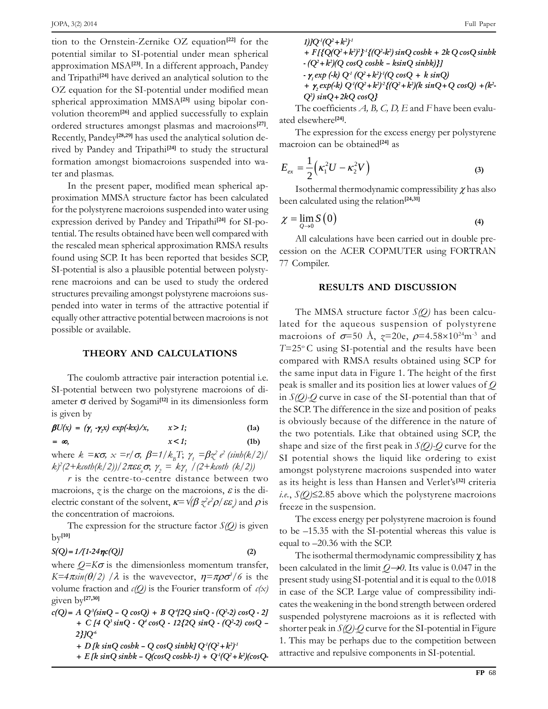JOPA, 3(2) 2014<br>tion to the Ornstein-Zernike OZ equation<sup>[22]</sup> for the<br>potential similar to SI-potential under mean spherical potential similar to SI-potential under mean spherical<br>approximation MSA<sup>[23]</sup>. In a different approach, Pandey approximation MSA<sup>[23]</sup>. In a different approach, Pandey<br>and Tripathi<sup>[24]</sup> have derived an analytical solution to the and Tripathi<sup>[24]</sup> have derived an analytical solution to the  $OZ$  equation for the SI-potential under modified mean OZ equation for the SI-potential under modified mean<br>spherical approximation MMSA<sup>[25]</sup> using bipolar conspherical approximation MMSA<sup>[25]</sup> using bipolar convolution theorem<sup>[26]</sup> and applied successfully to explain<br>ordered structures amongst plasmas and macroions<sup>[27]</sup>. ordered structures amongst plasmas and macroions<sup>[27]</sup>. ate<br>Recently, Pandey<sup>[28,29]</sup> has used the analytical solution detly, Pandey<sup>[28,29]</sup> has used the analytical solution de-<br>by Pandey and Tripathi<sup>[24]</sup> to study the structural Fived by Pandey and Tripathi<sup>[24]</sup> to study the structural  $\frac{m}{\sqrt{m}}$ formation amongst<br>ter and plasmas. ter and plasmas.<br>In the present paper, modified mean spherical ap-

**[22]**

resent paper, modified mean spherical ap-<br>MMSA structure factor has been calculated proximation MMSA structure factor has been calculated been of the polystyrene macroions suspended into water using For the polystyrene macroions suspended into water using<br>expression derived by Pandey and Tripathi<sup>[24]</sup> for SI-poexpression derived by Pandey and Tripathi<sup>[24]</sup> for SI-po-<br>tential. The results obtained have been well compared with tential. The results obtained have been well compared with<br>the rescaled mean spherical approximation RMSA results the rescaled mean spherical approximation RMSA results  $\overline{C}$  found using SCP. It has been reported that besides SCP. found using SCP. It has been reported that besides SCP,  $\frac{77}{27}$  Compiler. SI-potential is also a plausible potential between polystyrene macroions and can be used to study the ordered<br>structures prevailing amongst polystyrene macroions susstructures prevailing amongst polystyrene macroions susexperience in the gard of the attractive potential if<br>equally other attractive potential between macroions is not <u>.</u><br>equally other attractive pc<br>possible or available. possible or available.<br> **THEORY AND CALCULATIONS** 

c<br>The coulomb attractive pair interaction potential i.e. <sup>th</sup> The coulomb attractive pair interaction potential i.e.<br>SI-potential between two polystyrene macroions of di-<br>ameter  $\sigma$  derived by Sogami<sup>[12]</sup> in its dimensionless form by disturbed matroions of di-<br><sup>[12]</sup> in its dimensionless form in  $S(Q)$ -Q c ameter  $\sigma$  derived by

**1**s given by<br>  $\beta U(x) = (\gamma_1 \cdot \gamma_2 x) \exp(-kx)/x,$  $x > 1$ **; (1a)**  $\beta U(x) = (\gamma_1 \cdot \gamma_2 x) \exp(-kx)/x,$   $x > 1;$  (1a)<br>=  $\infty,$   $x < 1;$  (1b)

*x* < 1;<br>  $k = \kappa \sigma, x = r/\sigma, \beta = 1/k_{B}T; \gamma = \beta \gamma^{2}$  $= \infty$ ,  $x < 1$ ; (Ib)<br>
where  $k = \kappa \sigma$ ,  $x = r/\sigma$ ,  $\beta = 1/k_B T$ ;  $\gamma_t = \beta z^2 e^2 (\sinh(k/2))/k$ <br>  $k^2 (2 + k \coth(k/2))/2 \pi \varepsilon \varepsilon \sigma$ ,  $\gamma_2 = k \gamma_1 / (2 + k \coth(k/2))$  $k = \kappa \sigma$ ,  $x = r/\sigma$ ,  $\beta = 1/k_{B}T$ ;<br>exoth(k/2))/2 $\pi \varepsilon \varepsilon \sigma$ ,  $\gamma$ ,  $= k\gamma$ ,  $\ell_{B}T$ ;  $\gamma_{1} = \beta z^{2}$ <br>=  $k\gamma_{1}$  / (2+ $k\alpha$ 2<sup>1</sup>*r* is the centre-to-centre distance between two  $\lim_{t \to \infty} \frac{1}{t} \log \frac{1}{t}$  among the centre-to-centre distance between two

 $r$  is the centre-to-centre distance between two<br>macroions, z is the charge on the macroions,  $\varepsilon$  is the dimacroions,  $z$  is the charge on the macroions,  $\varepsilon$  is the di-<br>electric constant of the solvent,  $\kappa = \sqrt{\beta z^2 \rho / \varepsilon \varepsilon}$  and  $\rho$  is freez<br>the concentration of macroions. *2*<br>22 expression for the structure factor  $S(O)$  is given the concentration of macroions.

 $\text{S(Q)} = 1/[1-24\eta c(Q)]$  (2)

# $S(Q) = 1/[1\cdot 24\eta c(Q)]$  (2)<br>where  $Q=K\sigma$  is the dimensionless momentum transfer, *ho*

 $\int \frac{\partial^2 f}{\partial x^2} f(x) dx$  is the dimensionless momentum transfer, been  $\pi \sin(\theta/2) / \lambda$  is the wavevector,  $\eta = \pi \rho \sigma^3 / 6$  is the  $K=4\pi sin(\theta/2)$  / $\lambda$  is the wavevector,  $\eta = \pi \rho \sigma^3/6$  is the press<br>volume fraction and *c(O)* is the Fourier transform of *c(x)* in an volume fraction<br>given by<sup>[27,30]</sup>

- $c(Q) = A Q^3(\sin Q Q \cos Q) + B Q^4[2Q \sin Q \cdot (Q^2-2) \cos Q \cdot 2]$ **+**  $C$  [4  $Q$ <sup>2</sup>  $sinQ$  **-**  $Q$ <sup>4</sup>  $cosQ$  **-**  $12\{2Q \, sinQ$  **-**  $(Q$ <sup>2</sup>-2)  $cosQ$  **-2}]Q-6**
	- **+ D [k sinQ coshk ñ Q cosQ sinhk] Q-1(Q<sup>2</sup>+k <sup>2</sup>) -1**
	- **+ E [k sinQ sinhk ñ Q(cosQ coshk-1) + Q-1(Q<sup>2</sup>+k 2)(cosQ-**
- $1)$ **]** $Q^{-1}(Q^2 + k^2)^{-1}$ **+ F [{Q(Q<sup>2</sup>+k <sup>2</sup>) <sup>2</sup>} -1{(Q<sup>2</sup> -k <sup>2</sup>) sinQ coshk + 2k Q cosQ sinhk - (Q<sup>2</sup>+k <sup>2</sup>)(Q cosQ coshk ñ ksinQ sinhk)}] - <sup>1</sup> exp (-k) Q-1 (Q<sup>2</sup>+k <sup>2</sup>) -1(Q cosQ + k sinQ)**
- **+**  $\gamma_2$  **exp(-k)**  $Q^1(Q^2 + k^2)^2$ { $(Q^2 + k^2)$ (k sin $Q$  + Q cosQ) +(k<sup>2</sup>  $Q^2$ )  $\sin Q + 2kQ \cos Q$ }  $Q^2 \sin Q + 2kQ \cos Q$ <br>The coefficients *A*, *B*, *C*, *D, E* and *F* have been evalu-

The coefficients  $\overline{A}$ <br>elsewhere<sup>[24]</sup>. ated elsewhere<sup>[24]</sup>.

ated elsewhere<sup>[24]</sup>.<br>The expression for the excess energy per polystyrene<br>macroion can be obtained<sup>[24]</sup> as

macroion can be obtained<sup>[24]</sup> as  
\n
$$
E_{ex} = \frac{1}{2} \left( \kappa_1^2 U - \kappa_2^2 V \right)
$$
\n(3)  
\nIsothermal thermodynamic compressibility  $\chi$  has also

beenIsothermal thermodynamic compressil<br>
In calculated using the relation<sup>[24,31]</sup> been calculated using the relation<sup>[24,31]</sup>

$$
\chi = \lim_{Q \to 0} S(0)
$$
\n(4)  
All calculations have been carried out in double pre-

calculations have been carried out in double pre-<br>on the ACER COPMUTER using FORTRAN cession on the A<br>77 Compiler.

### **RESULTS AND DISCUSSION**

 $\overrightarrow{SI}$  potential shows the liquid like ordering to exist<br>amongst polystyrene macroions suspended into water The MMSA structure factor  $S(Q)$  has been calculated for the aqueous suspension of polystyrene lated for MSA structure factor *S(Q)* has been calcu<br>he aqueous suspension of polystyren<br>of  $\sigma$ =50 Å,  $z$ =20e,  $\rho$ =4.58×10<sup>24</sup>m<sup>-3</sup> and lystyrene macroions of  $\sigma$ =50 Å,  $z$ =20e,  $\rho$ =4.58×10<sup>24</sup>m<sup>-3</sup> and<br>*T*=25°C using SI-potential and the results have been  $T=25^{\circ}$ C using SI-potential and the results have been<br>compared with RMSA results obtained using SCP for compared with RMSA results obtained using SCP for the same input data in Figure 1. The height of the first the same input data in Figure 1. The height of the first<br>peak is smaller and its position lies at lower values of  $Q$ peak is smaller and its position lies at lower values of  $Q$ <br>in *S(O)-O* curve in case of the SI-potential than that of the SCD-Q curve in case of the SI-potential than that of the SCP. The difference in the size and position of peaks the SCP. The difference in the size and position of peaks<br>is obviously because of the difference in the nature of is obviously because of the difference in the nature of the two potentials. Like that obtained using SCP, the the two potentials. Like that obtained using SCP, the shape and size of the first peak in  $S(O)$ -*O* curve for the shape and size of the first peak in  $S(Q)$ -Q curve for the SI potential shows the liquid like ordering to exist amongst polystyrene macroions suspended into water<br>as its height is less than Hansen and Verlet's<sup>[32]</sup> criteria *i.e.*,ongst polystyrene macroions suspended into water<br>*S(Q)≤2.85 above which the polystyrene macroions i.e.*,  $S(Q) \leq 2.85$  above which the suspension. the suspension.<br>excess energy per polystyrene macroion is found

The excess energy per polystyrene macroion is found<br>be  $-15.35$  with the SI-potential whereas this value is to be  $-15.35$  with the SI-potential whereas this value is equal to  $-20.36$  with the SCP.<br>The isothermal thermodynamic compressibility  $\gamma$  has

 $\overline{\phantom{a}}$ equal to  $-20.36$  with the SCP.<br>The isothermal thermodynamic compressibility  $\chi$  has been calculated in the limit  $Q\rightarrow 0$ . Its value is 0.047 in the present study using SI-potential and it is equal to the 0.018 present study using SI-potential and it is equal to the  $0.018$ <br>in case of the SCP. Large value of compressibility indiin case of the SCP. Large value of compressibility indicates the weakening in the bond strength between ordered<br>suspended polystyrene macroions as it is reflected with suspended polystyrene macroions as it is reflected with shorter peak in  $S(O)$ - $O$  curve for the SI-potential in Figure shorter peak in  $S(Q)$ -Q curve for the SI-potential in Figure<br>1. This may be perhaps due to the competition between 1. This may be perhaps due to the competition bet attractive and repulsive components in SI-potential.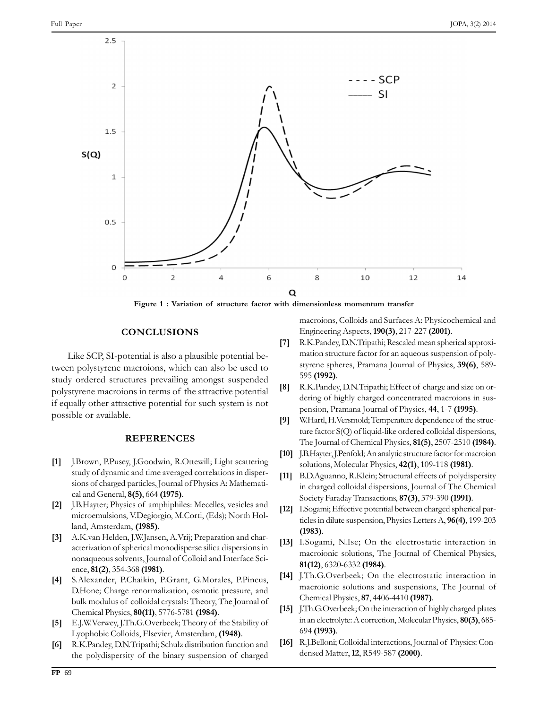

Exercise of the SCP.<br>Like SCP, SI-potential is also a plausible potential be-Like SCP, SI-potential is also a plausible potential be-<br>tween polystyrene macroions, which can also be used to study ordered structures prevailing amongst suspended study ordered structures prevailing amongst suspended<br>polystyrene macroions in terms of the attractive potential polystyrene macroions in terms of the attractive potential [8]<br>if equally other attractive potential for such system is not programs interests<br>if equally other attractors **REFERENCES**

## **REFERENCES**

- J.Brown, P.Pusey, J.Goodwin, R.Ottewill; Light scattering study of dynamic and time averaged correlations in disper- sions $\lceil 1 \rceil$ study of dynamic and time averaged correlations in dispersions of charged particles, Journal of Physics A: Mathematical and General, **8(5)**, 664 (1975). cal and General,  $8(5)$ , 664 (1975).<br>I.B.Hayter: Physics of amphiphiles: Mecelles, vesicles and many
- expressively.<br>
Solid amphiphiles: Mecelles, vesicles and<br>
V.Degiorgio, M.Corti, (Eds): North Holmicroemulsions, V.Degiorgio,<br>
land. Amsterdam. **(1985)**. and, Amsterdam, (1985).<br>A.K.van Helden, I.W.Jansen, A.Vrij; Preparation and char-
- of spherical monodisperse silica dispersions in [13] 1<br>of spherical monodisperse silica dispersions in [13]  $\lceil 3 \rceil$  $\frac{1}{3}$ <br>acterization of spherical monodisperse silica dispersions in **8131** nonaqueous solvents, Journal of Colloid and Interface Science, **81(2)**, 354-368 (1981). ence, 81(2), 354-368 (1981).<br>S.Alexander, P.Chaikin, P.Grant, G.Morales, P.Pincus, I.
- Charge renormalization, osmotic pressure, and<br>Charge renormalization, osmotic pressure, and  $[4]$ but modulus of colloidal crystals: Theory, The Journal of<br>bulk modulus of colloidal crystals: Theory, The Journal of bulk modulus of colloidal crystals: Theory, The Chemical Physics. **80(11)**, 5776-5781 **(1984)**.
- Chemical Physics, **80(11)**, 5776-5781 **(1984)**. [15]<br>
[5] E.J.W.Verwey, J.Th.G.Overbeek; Theory of the Stability of Lyophobic Colloids. Elsevier, Amsterdam, **(1948)**. Lyophobic Colloids, Elsevier, Amsterdam, (1948).<br>R.K.Pandey, D.N.Tripathi; Schulz distribution function and [16]
- R.K.Pandey, D.N.Tripathi; Schulz distribution function and  $[16]$ <sup>]</sup><br>the polydispersity of the binary suspension of charged  $[6]$

ith dimensionless momentum transfer<br>
macroions, Colloids and Surfaces A: Physicochemical and<br>
Engineering Aspects. **190(3)**, 217-227 **(2001)**. Engineering Aspects, 190(3), 217-227 (2001).

- R.K.Pandey, D.N.Tripathi; Rescaled mean spherical approxi- $[7]$ mation structure factor for an aqueous suspension of polystyrene spheres, Pramana Journal of Physics, **39(6)**, 589-595 **(1992)**. 595 **(1992).**<br>R.K.Pandey, D.N.Tripathi; Effect of charge and size on or-
- R.K.Pandey, D.N.Tripathi; Effect of charge and size on or-<br>dering of highly charged concentrated macroions in sus-**[8]** R.K.Pandey, D.N.Tripathi; Effect of charge and size on ordering of highly charged concentrated macroions in suspension, Pramana Journal of Physics, 44, 1-7 (1995).
- ture factor S(O) of liquid-like ordered colloidal dispersions.<br>ture factor S(O) of liquid-like ordered colloidal dispersions. **[9]** W.Hartl, H.Versmold; Temperature dependence of the structure factor S(Q) of liquid-like ordered colloidal dispersions, The Journal of Chemical Physics,  $81(5)$ ,  $2507-2510$  (1984).
- solutions, Molecular Physics, **42(1)**, 109-118 **(1981)**. **[11]**solutions, Molecular Physics,  $42(1)$ ,  $109-118$  (1981).
- B.D.Aguanno, R.Klein; Structural effects of polydispersity<br>in charged colloidal dispersions. Journal of The Chemical in charged colloidal dispersions, Journal of The Chemic<br>Society Faraday Transactions. **87(3)**, 379-390 **(1991)**. Society Faraday Transactions, 87(3), 379-390 (1991).
- I.Sogami; Effective potential between charged spherical particles in dilute suspension. Physics Letters A, **96(4)**, 199-203 ticles in dilute suspension, Physics Letters A, 96(4), 199-203 **(1983)**.  $(1983)$ .<br>I.Sogami, N.Ise: On the electrostatic interaction in
- solutions, T.Sogami, N.Ise; On the electrostatic interaction in<br>macroionic solutions. The Iournal of Chemical Physics, macroionic solutions, The Journal of Chemical Physics, **81(12)**, 6320-6332 **(1984)**.  $81(12)$ , 6320-6332 (1984).<br>LTh.G.Overbeek: On the electrostatic interaction in
- solutions and suspensions. The Journal of solutions and suspensions. The Journal of macroionic solutions and suspensions, T<br>Chemical Physics. **87**, 4406-4410 **(1987)**.
- Chemical Physics, **87**, 4406-4410 (1987).<br>J.Th.G.Overbeek; On the interaction of highly charged plates<br>in an electrolyte: A correction. Molecular Physics, **80(3)**, 685in an electrolyte: A correction, Molecular Physics, 80(3), 685-694 (1993). 694 (1993).<br>R.I.Belloni: Colloidal interactions, Journal of Physics: Con-
- oni; Colloidal interactions, Journa<br>Matter. **12**. R549-587 **(2000)**.